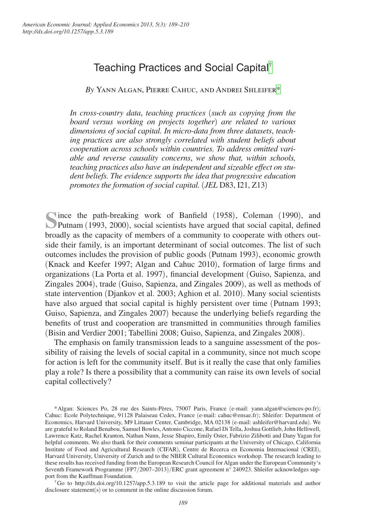# Teaching Practices and Social Capital[†](#page-0-0)

*By* Yann Algan, Pierre Cahuc, and Andrei Shleifer[\\*](#page-0-1)

*In cross-country data*, *teaching practices* (*such as copying from the board versus working on projects together*) *are related to various dimensions of social capital. In micro-data from three datasets*, *teaching practices are also strongly correlated with student beliefs about cooperation across schools within countries. To address omitted variable and reverse causality concerns*, *we show that, within schools, teaching practices also have an independent and sizeable effect on student beliefs. The evidence supports the idea that progressive education promotes the formation of social capital.* (*JEL* D83, I21, Z13)

**S**ince the path-breaking work of Banfield (1958), Coleman (1990), and Putnam (1993, 2000), social scientists have argued that social capital, defined broadly as the capacity of members of a community to cooperate with others outside their family, is an important determinant of social outcomes. The list of such outcomes includes the provision of public goods (Putnam 1993), economic growth (Knack and Keefer 1997; Algan and Cahuc 2010), formation of large firms and organizations (La Porta et al. 1997), financial development (Guiso, Sapienza, and Zingales 2004), trade (Guiso, Sapienza, and Zingales 2009), as well as methods of state intervention (Djankov et al. 2003; Aghion et al. 2010). Many social scientists have also argued that social capital is highly persistent over time (Putnam 1993; Guiso, Sapienza, and Zingales 2007) because the underlying beliefs regarding the benefits of trust and cooperation are transmitted in communities through families (Bisin and Verdier 2001; Tabellini 2008; Guiso, Sapienza, and Zingales 2008).

The emphasis on family transmission leads to a sanguine assessment of the possibility of raising the levels of social capital in a community, since not much scope for action is left for the community itself. But is it really the case that only families play a role? Is there a possibility that a community can raise its own levels of social capital collectively?

<span id="page-0-1"></span>\*Algan: Sciences Po, 28 rue des Saints-Pères, 75007 Paris, France (e-mail: <yann.algan>[@sciences-po.fr](sciences-po.fr)); Cahuc: Ecole Polytechnique, 91128 Palaiseau Cedex, France (e-mail: [cahuc@ensae.fr](mailto:cahuc@ensae.fr)); Shleifer: Department of Economics, Harvard University, M9 Littauer Center, Cambridge, MA 02138 (e-mail: [ashleifer@harvard.edu](mailto:ashleifer@harvard.edu)). We are grateful to Roland Benabou, Samuel Bowles, Antonio Ciccone, Rafael Di Tella, Joshua Gottlieb, John Helliwell, Lawrence Katz, Rachel Kranton, Nathan Nunn, Jesse Shapiro, Emily Oster, Fabrizio Zilibotti and Dany Yagan for helpful comments. We also thank for their comments seminar participants at the University of Chicago, California Institute of Food and Agricultural Research (CIFAR), Centre de Recerca en Economia Internacional (CREI), Harvard University, University of Zurich and to the NBER Cultural Economics workshop. The research leading to these results has received funding from the European Research Council for Algan under the European Community's Seventh Framework Programme (FP7/2007–2013)/ERC grant agreement n° 240923. Shleifer acknowledges support from the Kauffman Foundation.

<span id="page-0-0"></span> $\text{p}$  to to <http://dx.doi.org/10.1257/app.5.3.189>to visit the article page for additional materials and author disclosure statement(s) or to comment in the online discussion forum.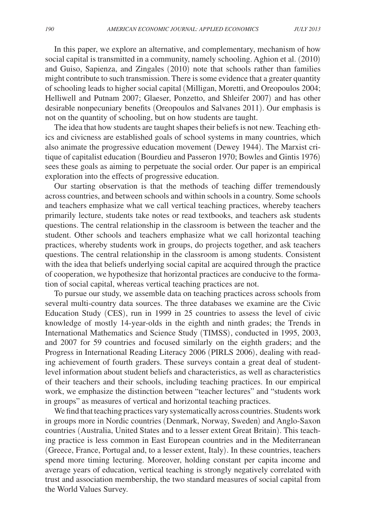In this paper, we explore an alternative, and complementary, mechanism of how social capital is transmitted in a community, namely schooling. Aghion et al. (2010) and Guiso, Sapienza, and Zingales (2010) note that schools rather than families might contribute to such transmission. There is some evidence that a greater quantity of schooling leads to higher social capital (Milligan, Moretti, and Oreopoulos 2004; Helliwell and Putnam 2007; Glaeser, Ponzetto, and Shleifer 2007) and has other desirable nonpecuniary benefits (Oreopoulos and Salvanes 2011). Our emphasis is not on the quantity of schooling, but on how students are taught.

The idea that how students are taught shapes their beliefs is not new. Teaching ethics and civicness are established goals of school systems in many countries, which also animate the progressive education movement (Dewey 1944). The Marxist critique of capitalist education (Bourdieu and Passeron 1970; Bowles and Gintis 1976) sees these goals as aiming to perpetuate the social order. Our paper is an empirical exploration into the effects of progressive education.

Our starting observation is that the methods of teaching differ tremendously across countries, and between schools and within schools in a country. Some schools and teachers emphasize what we call vertical teaching practices, whereby teachers primarily lecture, students take notes or read textbooks, and teachers ask students questions. The central relationship in the classroom is between the teacher and the student. Other schools and teachers emphasize what we call horizontal teaching practices, whereby students work in groups, do projects together, and ask teachers questions. The central relationship in the classroom is among students. Consistent with the idea that beliefs underlying social capital are acquired through the practice of cooperation, we hypothesize that horizontal practices are conducive to the formation of social capital, whereas vertical teaching practices are not.

To pursue our study, we assemble data on teaching practices across schools from several multi-country data sources. The three databases we examine are the Civic Education Study (CES), run in 1999 in 25 countries to assess the level of civic knowledge of mostly 14-year-olds in the eighth and ninth grades; the Trends in International Mathematics and Science Study (TIMSS), conducted in 1995, 2003, and 2007 for 59 countries and focused similarly on the eighth graders; and the Progress in International Reading Literacy 2006 (PIRLS 2006), dealing with reading achievement of fourth graders. These surveys contain a great deal of studentlevel information about student beliefs and characteristics, as well as characteristics of their teachers and their schools, including teaching practices. In our empirical work, we emphasize the distinction between "teacher lectures" and "students work in groups" as measures of vertical and horizontal teaching practices.

We find that teaching practices vary systematically across countries. Students work in groups more in Nordic countries (Denmark, Norway, Sweden) and Anglo-Saxon countries (Australia, United States and to a lesser extent Great Britain). This teaching practice is less common in East European countries and in the Mediterranean (Greece, France, Portugal and, to a lesser extent, Italy). In these countries, teachers spend more timing lecturing. Moreover, holding constant per capita income and average years of education, vertical teaching is strongly negatively correlated with trust and association membership, the two standard measures of social capital from the World Values Survey.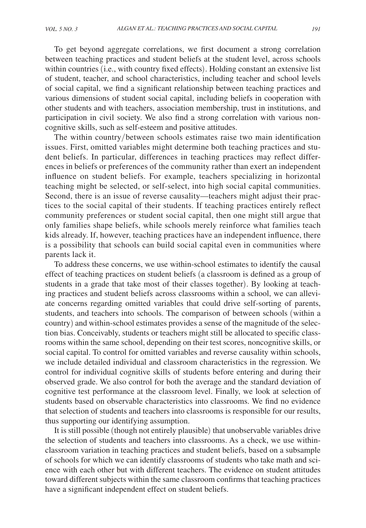To get beyond aggregate correlations, we first document a strong correlation between teaching practices and student beliefs at the student level, across schools within countries (i.e., with country fixed effects). Holding constant an extensive list of student, teacher, and school characteristics, including teacher and school levels of social capital, we find a significant relationship between teaching practices and various dimensions of student social capital, including beliefs in cooperation with other students and with teachers, association membership, trust in institutions, and participation in civil society. We also find a strong correlation with various noncognitive skills, such as self-esteem and positive attitudes.

The within country/between schools estimates raise two main identification issues. First, omitted variables might determine both teaching practices and student beliefs. In particular, differences in teaching practices may reflect differences in beliefs or preferences of the community rather than exert an independent influence on student beliefs. For example, teachers specializing in horizontal teaching might be selected, or self-select, into high social capital communities. Second, there is an issue of reverse causality—teachers might adjust their practices to the social capital of their students. If teaching practices entirely reflect community preferences or student social capital, then one might still argue that only families shape beliefs, while schools merely reinforce what families teach kids already. If, however, teaching practices have an independent influence, there is a possibility that schools can build social capital even in communities where parents lack it.

To address these concerns, we use within-school estimates to identify the causal effect of teaching practices on student beliefs (a classroom is defined as a group of students in a grade that take most of their classes together). By looking at teaching practices and student beliefs across classrooms within a school, we can alleviate concerns regarding omitted variables that could drive self-sorting of parents, students, and teachers into schools. The comparison of between schools (within a country) and within-school estimates provides a sense of the magnitude of the selection bias. Conceivably, students or teachers might still be allocated to specific classrooms within the same school, depending on their test scores, noncognitive skills, or social capital. To control for omitted variables and reverse causality within schools, we include detailed individual and classroom characteristics in the regression. We control for individual cognitive skills of students before entering and during their observed grade. We also control for both the average and the standard deviation of cognitive test performance at the classroom level. Finally, we look at selection of students based on observable characteristics into classrooms. We find no evidence that selection of students and teachers into classrooms is responsible for our results, thus supporting our identifying assumption.

It is still possible (though not entirely plausible) that unobservable variables drive the selection of students and teachers into classrooms. As a check, we use withinclassroom variation in teaching practices and student beliefs, based on a subsample of schools for which we can identify classrooms of students who take math and science with each other but with different teachers. The evidence on student attitudes toward different subjects within the same classroom confirms that teaching practices have a significant independent effect on student beliefs.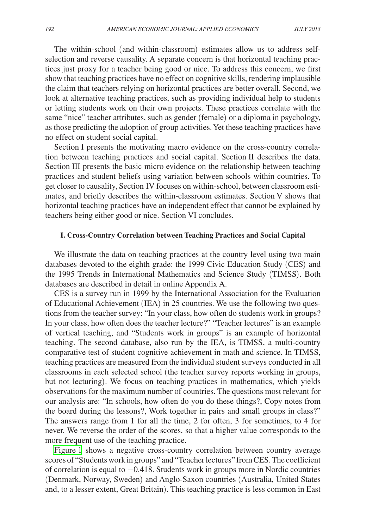The within-school (and within-classroom) estimates allow us to address selfselection and reverse causality. A separate concern is that horizontal teaching practices just proxy for a teacher being good or nice. To address this concern, we first show that teaching practices have no effect on cognitive skills, rendering implausible the claim that teachers relying on horizontal practices are better overall. Second, we look at alternative teaching practices, such as providing individual help to students or letting students work on their own projects. These practices correlate with the same "nice" teacher attributes, such as gender (female) or a diploma in psychology, as those predicting the adoption of group activities. Yet these teaching practices have no effect on student social capital.

Section I presents the motivating macro evidence on the cross-country correlation between teaching practices and social capital. Section II describes the data. Section III presents the basic micro evidence on the relationship between teaching practices and student beliefs using variation between schools within countries. To get closer to causality, Section IV focuses on within-school, between classroom estimates, and briefly describes the within-classroom estimates. Section V shows that horizontal teaching practices have an independent effect that cannot be explained by teachers being either good or nice. Section VI concludes.

### **I. Cross-Country Correlation between Teaching Practices and Social Capital**

We illustrate the data on teaching practices at the country level using two main databases devoted to the eighth grade: the 1999 Civic Education Study (CES) and the 1995 Trends in International Mathematics and Science Study (TIMSS). Both databases are described in detail in online Appendix A.

CES is a survey run in 1999 by the International Association for the Evaluation of Educational Achievement (IEA) in 25 countries. We use the following two questions from the teacher survey: "In your class, how often do students work in groups? In your class, how often does the teacher lecture?" "Teacher lectures" is an example of vertical teaching, and "Students work in groups" is an example of horizontal teaching. The second database, also run by the IEA, is TIMSS, a multi-country comparative test of student cognitive achievement in math and science. In TIMSS, teaching practices are measured from the individual student surveys conducted in all classrooms in each selected school (the teacher survey reports working in groups, but not lecturing). We focus on teaching practices in mathematics, which yields observations for the maximum number of countries. The questions most relevant for our analysis are: "In schools, how often do you do these things?, Copy notes from the board during the lessons?, Work together in pairs and small groups in class?" The answers range from 1 for all the time, 2 for often, 3 for sometimes, to 4 for never. We reverse the order of the scores, so that a higher value corresponds to the more frequent use of the teaching practice.

[Figure](#page-4-0) 1 shows a negative cross-country correlation between country average scores of "Students work in groups" and "Teacher lectures" from CES. The coefficient of correlation is equal to −0.418. Students work in groups more in Nordic countries (Denmark, Norway, Sweden) and Anglo-Saxon countries (Australia, United States and, to a lesser extent, Great Britain). This teaching practice is less common in East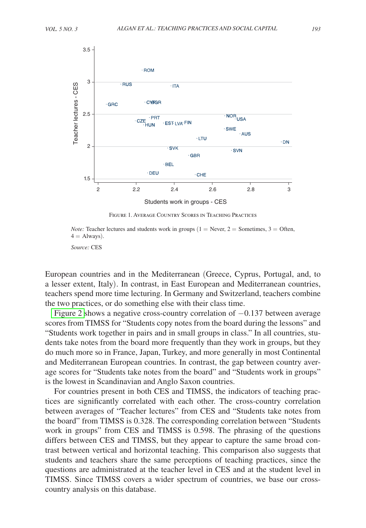<span id="page-4-0"></span>

Figure 1. Average Country Scores in Teaching Practices

*Note:* Teacher lectures and students work in groups  $(1 =$  Never,  $2 =$  Sometimes,  $3 =$  Often,  $4 =$  Always).

*Source:* CES

European countries and in the Mediterranean (Greece, Cyprus, Portugal, and, to a lesser extent, Italy). In contrast, in East European and Mediterranean countries, teachers spend more time lecturing. In Germany and Switzerland, teachers combine the two practices, or do something else with their class time.

[Figure](#page-5-0) 2 shows a negative cross-country correlation of −0.137 between average scores from TIMSS for "Students copy notes from the board during the lessons" and "Students work together in pairs and in small groups in class." In all countries, students take notes from the board more frequently than they work in groups, but they do much more so in France, Japan, Turkey, and more generally in most Continental and Mediterranean European countries. In contrast, the gap between country average scores for "Students take notes from the board" and "Students work in groups" is the lowest in Scandinavian and Anglo Saxon countries.

For countries present in both CES and TIMSS, the indicators of teaching practices are significantly correlated with each other. The cross-country correlation between averages of "Teacher lectures" from CES and "Students take notes from the board" from TIMSS is 0.328. The corresponding correlation between "Students work in groups" from CES and TIMSS is 0.598. The phrasing of the questions differs between CES and TIMSS, but they appear to capture the same broad contrast between vertical and horizontal teaching. This comparison also suggests that students and teachers share the same perceptions of teaching practices, since the questions are administrated at the teacher level in CES and at the student level in TIMSS. Since TIMSS covers a wider spectrum of countries, we base our crosscountry analysis on this database.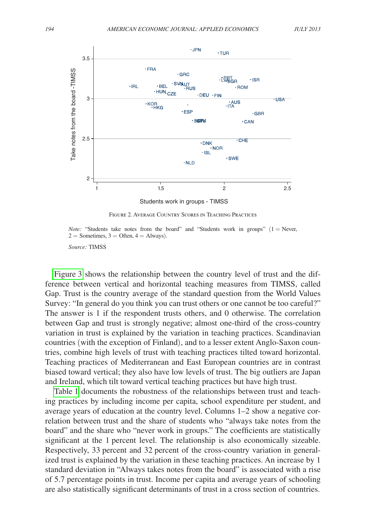<span id="page-5-0"></span>

Figure 2. Average Country Scores in Teaching Practices

*Note:* "Students take notes from the board" and "Students work in groups"  $(1 =$  Never,  $2 =$  Sometimes,  $3 =$  Often,  $4 =$  Always).

*Source:* TIMSS

[Figure](#page-6-0) 3 shows the relationship between the country level of trust and the difference between vertical and horizontal teaching measures from TIMSS, called Gap. Trust is the country average of the standard question from the World Values Survey: "In general do you think you can trust others or one cannot be too careful?" The answer is 1 if the respondent trusts others, and 0 otherwise. The correlation between Gap and trust is strongly negative; almost one-third of the cross-country variation in trust is explained by the variation in teaching practices. Scandinavian countries (with the exception of Finland), and to a lesser extent Anglo-Saxon countries, combine high levels of trust with teaching practices tilted toward horizontal. Teaching practices of Mediterranean and East European countries are in contrast biased toward vertical; they also have low levels of trust. The big outliers are Japan and Ireland, which tilt toward vertical teaching practices but have high trust.

[Table](#page-7-0) 1 documents the robustness of the relationships between trust and teaching practices by including income per capita, school expenditure per student, and average years of education at the country level. Columns 1–2 show a negative correlation between trust and the share of students who "always take notes from the board" and the share who "never work in groups." The coefficients are statistically significant at the 1 percent level. The relationship is also economically sizeable. Respectively, 33 percent and 32 percent of the cross-country variation in generalized trust is explained by the variation in these teaching practices. An increase by 1 standard deviation in "Always takes notes from the board" is associated with a rise of 5.7 percentage points in trust. Income per capita and average years of schooling are also statistically significant determinants of trust in a cross section of countries.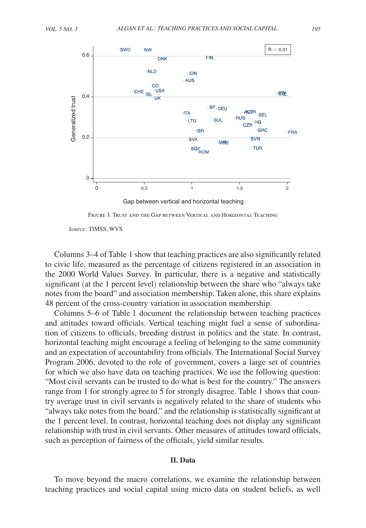<span id="page-6-0"></span>

Figure 3. Trust and the Gap between Vertical and Horizontal Teaching

*Source:* TIMSS, WVS

Columns 3–4 of Table 1 show that teaching practices are also significantly related to civic life, measured as the percentage of citizens registered in an association in the 2000 World Values Survey. In particular, there is a negative and statistically significant (at the 1 percent level) relationship between the share who "always take notes from the board" and association membership. Taken alone, this share explains 48 percent of the cross-country variation in association membership.

Columns 5–6 of Table 1 document the relationship between teaching practices and attitudes toward officials. Vertical teaching might fuel a sense of subordination of citizens to officials, breeding distrust in politics and the state. In contrast, horizontal teaching might encourage a feeling of belonging to the same community and an expectation of accountability from officials. The International Social Survey Program 2006, devoted to the role of government, covers a large set of countries for which we also have data on teaching practices. We use the following question: "Most civil servants can be trusted to do what is best for the country." The answers range from 1 for strongly agree to 5 for strongly disagree. Table 1 shows that country average trust in civil servants is negatively related to the share of students who "always take notes from the board," and the relationship is statistically significant at the 1 percent level. In contrast, horizontal teaching does not display any significant relationship with trust in civil servants. Other measures of attitudes toward officials, such as perception of fairness of the officials, yield similar results.

## **II. Data**

To move beyond the macro correlations, we examine the relationship between teaching practices and social capital using micro data on student beliefs, as well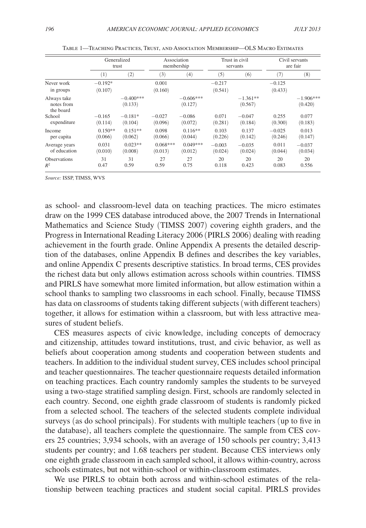<span id="page-7-0"></span>

|                                        |                      | Generalized<br>trust   |                  | Association<br>membership |                     | Trust in civil<br>servants |                     | Civil servants<br>are fair |  |
|----------------------------------------|----------------------|------------------------|------------------|---------------------------|---------------------|----------------------------|---------------------|----------------------------|--|
|                                        | (1)                  | (2)                    | (3)              | (4)                       | (5)                 | (6)                        | (7)                 | (8)                        |  |
| Never work<br>in groups                | $-0.192*$<br>(0.107) |                        | 0.001<br>(0.160) |                           | $-0.217$<br>(0.541) |                            | $-0.125$<br>(0.433) |                            |  |
| Always take<br>notes from<br>the board |                      | $-0.400***$<br>(0.133) |                  | $-0.606***$<br>(0.127)    |                     | $-1.361**$<br>(0.567)      |                     | $-1.906***$<br>(0.420)     |  |
| School                                 | $-0.165$             | $-0.181*$              | $-0.027$         | $-0.086$                  | 0.071               | $-0.047$                   | 0.255               | 0.077                      |  |
| expenditure                            | (0.114)              | (0.104)                | (0.096)          | (0.072)                   | (0.281)             | (0.184)                    | (0.300)             | (0.183)                    |  |
| Income                                 | $0.150**$            | $0.151**$              | 0.098            | $0.116**$                 | 0.103               | 0.137                      | $-0.025$            | 0.013                      |  |
| per capita                             | (0.066)              | (0.062)                | (0.066)          | (0.044)                   | (0.226)             | (0.142)                    | (0.246)             | (0.147)                    |  |
| Average years                          | 0.031                | $0.023**$              | $0.068***$       | $0.049***$                | $-0.003$            | $-0.035$                   | 0.011               | $-0.037$                   |  |
| of education                           | (0.010)              | (0.008)                | (0.013)          | (0.012)                   | (0.024)             | (0.024)                    | (0.044)             | (0.034)                    |  |
| <b>Observations</b>                    | 31                   | 31                     | 27               | 27                        | 20                  | 20                         | 20                  | 20                         |  |
| $R^2$                                  | 0.47                 | 0.59                   | 0.59             | 0.75                      | 0.118               | 0.423                      | 0.083               | 0.556                      |  |

Table 1—Teaching Practices, Trust, and Association Membership—OLS Macro Estimates

*Source:* ISSP, TIMSS, WVS

as school- and classroom-level data on teaching practices. The micro estimates draw on the 1999 CES database introduced above, the 2007 Trends in International Mathematics and Science Study (TIMSS 2007) covering eighth graders, and the Progress in International Reading Literacy 2006 (PIRLS 2006) dealing with reading achievement in the fourth grade. Online Appendix A presents the detailed description of the databases, online Appendix B defines and describes the key variables, and online Appendix C presents descriptive statistics. In broad terms, CES provides the richest data but only allows estimation across schools within countries. TIMSS and PIRLS have somewhat more limited information, but allow estimation within a school thanks to sampling two classrooms in each school. Finally, because TIMSS has data on classrooms of students taking different subjects (with different teachers) together, it allows for estimation within a classroom, but with less attractive measures of student beliefs.

CES measures aspects of civic knowledge, including concepts of democracy and citizenship, attitudes toward institutions, trust, and civic behavior, as well as beliefs about cooperation among students and cooperation between students and teachers. In addition to the individual student survey, CES includes school principal and teacher questionnaires. The teacher questionnaire requests detailed information on teaching practices. Each country randomly samples the students to be surveyed using a two-stage stratified sampling design. First, schools are randomly selected in each country. Second, one eighth grade classroom of students is randomly picked from a selected school. The teachers of the selected students complete individual surveys (as do school principals). For students with multiple teachers (up to five in the database), all teachers complete the questionnaire. The sample from CES covers 25 countries; 3,934 schools, with an average of 150 schools per country; 3,413 students per country; and 1.68 teachers per student. Because CES interviews only one eighth grade classroom in each sampled school, it allows within-country, across schools estimates, but not within-school or within-classroom estimates.

We use PIRLS to obtain both across and within-school estimates of the relationship between teaching practices and student social capital. PIRLS provides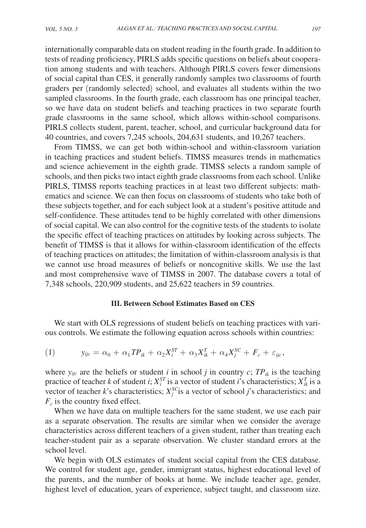internationally comparable data on student reading in the fourth grade. In addition to tests of reading proficiency, PIRLS adds specific questions on beliefs about cooperation among students and with teachers. Although PIRLS covers fewer dimensions of social capital than CES, it generally randomly samples two classrooms of fourth graders per (randomly selected) school, and evaluates all students within the two sampled classrooms. In the fourth grade, each classroom has one principal teacher, so we have data on student beliefs and teaching practices in two separate fourth grade classrooms in the same school, which allows within-school comparisons. PIRLS collects student, parent, teacher, school, and curricular background data for 40 countries, and covers 7,245 schools, 204,631 students, and 10,267 teachers.

From TIMSS, we can get both within-school and within-classroom variation in teaching practices and student beliefs. TIMSS measures trends in mathematics and science achievement in the eighth grade. TIMSS selects a random sample of schools, and then picks two intact eighth grade classrooms from each school. Unlike PIRLS, TIMSS reports teaching practices in at least two different subjects: mathematics and science. We can then focus on classrooms of students who take both of these subjects together, and for each subject look at a student's positive attitude and self-confidence. These attitudes tend to be highly correlated with other dimensions of social capital. We can also control for the cognitive tests of the students to isolate the specific effect of teaching practices on attitudes by looking across subjects. The benefit of TIMSS is that it allows for within-classroom identification of the effects of teaching practices on attitudes; the limitation of within-classroom analysis is that we cannot use broad measures of beliefs or noncognitive skills. We use the last and most comprehensive wave of TIMSS in 2007. The database covers a total of 7,348 schools, 220,909 students, and 25,622 teachers in 59 countries.

#### **III. Between School Estimates Based on CES**

We start with OLS regressions of student beliefs on teaching practices with various controls. We estimate the following equation across schools within countries:

$$
(1) \t y_{ijc} = \alpha_0 + \alpha_1 T P_{ik} + \alpha_2 X_i^{ST} + \alpha_3 X_{ik}^T + \alpha_4 X_j^{SC} + F_c + \varepsilon_{ijc},
$$

where  $y_{ijc}$  are the beliefs or student *i* in school *j* in country *c*;  $TP_{ik}$  is the teaching practice of teacher *k* of student *i*;  $X_i^{ST}$  is a vector of student *i*'s characteristics;  $X_{ik}^T$  is a vector of teacher *k*'s characteristics;  $X_j^{SC}$  is a vector of school *j*'s characteristics; and  $F_c$  is the country fixed effect.

When we have data on multiple teachers for the same student, we use each pair as a separate observation. The results are similar when we consider the average characteristics across different teachers of a given student, rather than treating each teacher-student pair as a separate observation. We cluster standard errors at the school level.

We begin with OLS estimates of student social capital from the CES database. We control for student age, gender, immigrant status, highest educational level of the parents, and the number of books at home. We include teacher age, gender, highest level of education, years of experience, subject taught, and classroom size.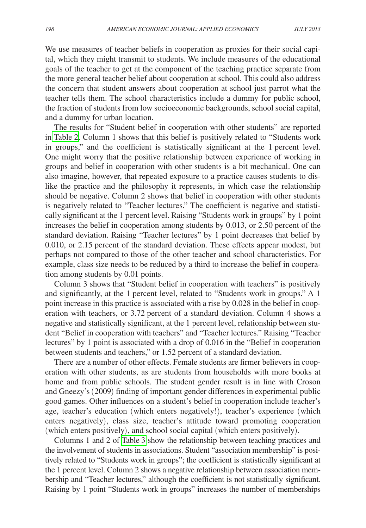We use measures of teacher beliefs in cooperation as proxies for their social capital, which they might transmit to students. We include measures of the educational goals of the teacher to get at the component of the teaching practice separate from the more general teacher belief about cooperation at school. This could also address the concern that student answers about cooperation at school just parrot what the teacher tells them. The school characteristics include a dummy for public school, the fraction of students from low socioeconomic backgrounds, school social capital, and a dummy for urban location.

The results for "Student belief in cooperation with other students" are reported in [Table](#page-10-0) 2. Column 1 shows that this belief is positively related to "Students work in groups," and the coefficient is statistically significant at the 1 percent level. One might worry that the positive relationship between experience of working in groups and belief in cooperation with other students is a bit mechanical. One can also imagine, however, that repeated exposure to a practice causes students to dislike the practice and the philosophy it represents, in which case the relationship should be negative. Column 2 shows that belief in cooperation with other students is negatively related to "Teacher lectures." The coefficient is negative and statistically significant at the 1 percent level. Raising "Students work in groups" by 1 point increases the belief in cooperation among students by 0.013, or 2.50 percent of the standard deviation. Raising "Teacher lectures" by 1 point decreases that belief by 0.010, or 2.15 percent of the standard deviation. These effects appear modest, but perhaps not compared to those of the other teacher and school characteristics. For example, class size needs to be reduced by a third to increase the belief in cooperation among students by 0.01 points.

Column 3 shows that "Student belief in cooperation with teachers" is positively and significantly, at the 1 percent level, related to "Students work in groups." A 1 point increase in this practice is associated with a rise by 0.028 in the belief in cooperation with teachers, or 3.72 percent of a standard deviation. Column 4 shows a negative and statistically significant, at the 1 percent level, relationship between student "Belief in cooperation with teachers" and "Teacher lectures." Raising "Teacher lectures" by 1 point is associated with a drop of 0.016 in the "Belief in cooperation between students and teachers," or 1.52 percent of a standard deviation.

There are a number of other effects. Female students are firmer believers in cooperation with other students, as are students from households with more books at home and from public schools. The student gender result is in line with Croson and Gneezy's (2009) finding of important gender differences in experimental public good games. Other influences on a student's belief in cooperation include teacher's age, teacher's education (which enters negatively!), teacher's experience (which enters negatively), class size, teacher's attitude toward promoting cooperation (which enters positively), and school social capital (which enters positively).

Columns 1 and 2 of [Table](#page-11-0) 3 show the relationship between teaching practices and the involvement of students in associations. Student "association membership" is positively related to "Students work in groups"; the coefficient is statistically significant at the 1 percent level. Column 2 shows a negative relationship between association membership and "Teacher lectures," although the coefficient is not statistically significant. Raising by 1 point "Students work in groups" increases the number of memberships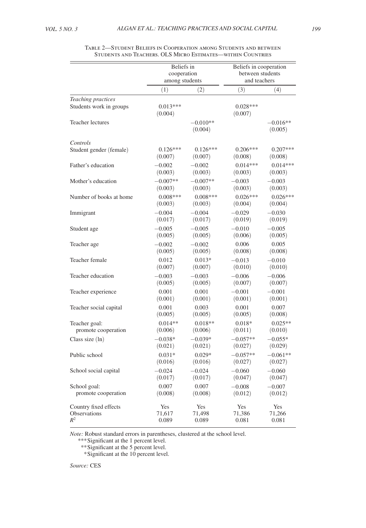<span id="page-10-0"></span>

|                                               | Beliefs in<br>cooperation<br>among students |                       | Beliefs in cooperation<br>between students<br>and teachers |                       |
|-----------------------------------------------|---------------------------------------------|-----------------------|------------------------------------------------------------|-----------------------|
|                                               | (1)                                         | (2)                   | (3)                                                        | (4)                   |
| Teaching practices<br>Students work in groups | $0.013***$<br>(0.004)                       |                       | $0.028***$<br>(0.007)                                      |                       |
| <b>Teacher lectures</b>                       |                                             | $-0.010**$<br>(0.004) |                                                            | $-0.016**$<br>(0.005) |
| Controls                                      | $0.126***$                                  | $0.126***$            | $0.206***$                                                 | $0.207***$            |
| Student gender (female)                       | (0.007)                                     | (0.007)               | (0.008)                                                    | (0.008)               |
| Father's education                            | $-0.002$                                    | $-0.002$              | $0.014***$                                                 | $0.014***$            |
|                                               | (0.003)                                     | (0.003)               | (0.003)                                                    | (0.003)               |
| Mother's education                            | $-0.007**$                                  | $-0.007**$            | $-0.003$                                                   | $-0.003$              |
|                                               | (0.003)                                     | (0.003)               | (0.003)                                                    | (0.003)               |
| Number of books at home                       | $0.008***$                                  | $0.008***$            | $0.026***$                                                 | $0.026***$            |
|                                               | (0.003)                                     | (0.003)               | (0.004)                                                    | (0.004)               |
| Immigrant                                     | $-0.004$                                    | $-0.004$              | $-0.029$                                                   | $-0.030$              |
|                                               | (0.017)                                     | (0.017)               | (0.019)                                                    | (0.019)               |
| Student age                                   | $-0.005$                                    | $-0.005$              | $-0.010$                                                   | $-0.005$              |
|                                               | (0.005)                                     | (0.005)               | (0.006)                                                    | (0.005)               |
| Teacher age                                   | $-0.002$                                    | $-0.002$              | 0.006                                                      | 0.005                 |
|                                               | (0.005)                                     | (0.005)               | (0.008)                                                    | (0.008)               |
| Teacher female                                | 0.012                                       | $0.013*$              | $-0.013$                                                   | $-0.010$              |
|                                               | (0.007)                                     | (0.007)               | (0.010)                                                    | (0.010)               |
| Teacher education                             | $-0.003$                                    | $-0.003$              | $-0.006$                                                   | $-0.006$              |
|                                               | (0.005)                                     | (0.005)               | (0.007)                                                    | (0.007)               |
| Teacher experience                            | 0.001                                       | 0.001                 | $-0.001$                                                   | $-0.001$              |
|                                               | (0.001)                                     | (0.001)               | (0.001)                                                    | (0.001)               |
| Teacher social capital                        | 0.001                                       | 0.003                 | 0.001                                                      | 0.007                 |
|                                               | (0.005)                                     | (0.005)               | (0.005)                                                    | (0.008)               |
| Teacher goal:                                 | $0.014**$                                   | $0.018**$             | $0.018*$                                                   | $0.025**$             |
| promote cooperation                           | (0.006)                                     | (0.006)               | (0.011)                                                    | (0.010)               |
| Class size $(ln)$                             | $-0.038*$                                   | $-0.039*$             | $-0.057**$                                                 | $-0.055*$             |
|                                               | (0.021)                                     | (0.021)               | (0.027)                                                    | (0.029)               |
| Public school                                 | $0.031*$                                    | $0.029*$              | $-0.057**$                                                 | $-0.061**$            |
|                                               | (0.016)                                     | (0.016)               | (0.027)                                                    | (0.027)               |
| School social capital                         | $-0.024$                                    | $-0.024$              | $-0.060$                                                   | $-0.060$              |
|                                               | (0.017)                                     | (0.017)               | (0.047)                                                    | (0.047)               |
| School goal:                                  | 0.007                                       | 0.007                 | $-0.008$                                                   | $-0.007$              |
| promote cooperation                           | (0.008)                                     | (0.008)               | (0.012)                                                    | (0.012)               |
| Country fixed effects                         | Yes                                         | Yes                   | Yes                                                        | Yes                   |
| Observations                                  | 71,617                                      | 71,498                | 71,386                                                     | 71,266                |
| $R^2$                                         | 0.089                                       | 0.089                 | 0.081                                                      | 0.081                 |

Table 2—Student Beliefs in Cooperation among Students and between Students and Teachers. OLS Micro Estimates—within Countries

*Note:* Robust standard errors in parentheses, clustered at the school level.

*\*\*\**Significant at the 1 percent level.

*\*\**Significant at the 5 percent level.

 *\**Significant at the 10 percent level.

*Source:* CES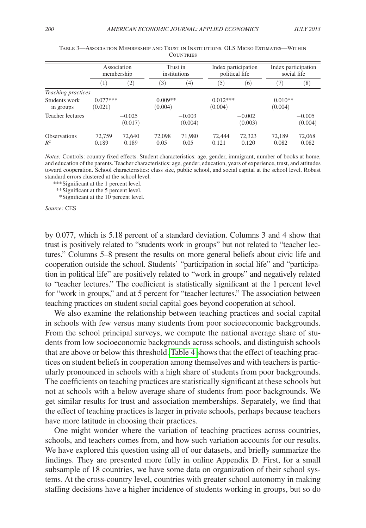|                              | Association<br>membership |                     | Trust in<br>institutions |                     | Index participation<br>political life |                     | Index participation<br>social life |                     |
|------------------------------|---------------------------|---------------------|--------------------------|---------------------|---------------------------------------|---------------------|------------------------------------|---------------------|
|                              | $\left(1\right)$          | $\left( 2\right)$   | (3)                      | $\left(4\right)$    | (5)                                   | (6)                 | (7)                                | $^{\rm (8)}$        |
| Teaching practices           |                           |                     |                          |                     |                                       |                     |                                    |                     |
| Students work<br>in groups   | $0.077***$<br>(0.021)     |                     | $0.009**$<br>(0.004)     |                     | $0.012***$<br>(0.004)                 |                     | $0.010**$<br>(0.004)               |                     |
| Teacher lectures             |                           | $-0.025$<br>(0.017) |                          | $-0.003$<br>(0.004) |                                       | $-0.002$<br>(0.003) |                                    | $-0.005$<br>(0.004) |
| <b>Observations</b><br>$R^2$ | 72,759<br>0.189           | 72,640<br>0.189     | 72,098<br>0.05           | 71,980<br>0.05      | 72,444<br>0.121                       | 72.323<br>0.120     | 72.189<br>0.082                    | 72,068<br>0.082     |

<span id="page-11-0"></span>Table 3—Association Membership and Trust in Institutions. OLS Micro Estimates—Within **COUNTRIES** 

*Notes:* Controls: country fixed effects. Student characteristics: age, gender, immigrant, number of books at home, and education of the parents. Teacher characteristics: age, gender, education, years of experience, trust, and attitudes toward cooperation. School characteristics: class size, public school, and social capital at the school level. Robust standard errors clustered at the school level.

*\*\*\**Significant at the 1 percent level.

*\*\**Significant at the 5 percent level.

 *\**Significant at the 10 percent level.

*Source:* CES

by 0.077, which is 5.18 percent of a standard deviation. Columns 3 and 4 show that trust is positively related to "students work in groups" but not related to "teacher lectures." Columns 5–8 present the results on more general beliefs about civic life and cooperation outside the school. Students' "participation in social life" and "participation in political life" are positively related to "work in groups" and negatively related to "teacher lectures." The coefficient is statistically significant at the 1 percent level for "work in groups," and at 5 percent for "teacher lectures." The association between teaching practices on student social capital goes beyond cooperation at school.

We also examine the relationship between teaching practices and social capital in schools with few versus many students from poor socioeconomic backgrounds. From the school principal surveys, we compute the national average share of students from low socioeconomic backgrounds across schools, and distinguish schools that are above or below this threshold. [Table](#page-12-0) 4 shows that the effect of teaching practices on student beliefs in cooperation among themselves and with teachers is particularly pronounced in schools with a high share of students from poor backgrounds. The coefficients on teaching practices are statistically significant at these schools but not at schools with a below average share of students from poor backgrounds. We get similar results for trust and association memberships. Separately, we find that the effect of teaching practices is larger in private schools, perhaps because teachers have more latitude in choosing their practices.

One might wonder where the variation of teaching practices across countries, schools, and teachers comes from, and how such variation accounts for our results. We have explored this question using all of our datasets, and briefly summarize the findings. They are presented more fully in online Appendix D. First, for a small subsample of 18 countries, we have some data on organization of their school systems. At the cross-country level, countries with greater school autonomy in making staffing decisions have a higher incidence of students working in groups, but so do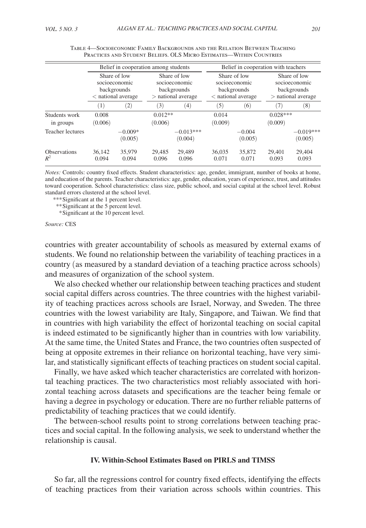<span id="page-12-0"></span>

|                              | Belief in cooperation among students                                 |                      |                                                                      |                        | Belief in cooperation with teachers                                  |                     |                                                                      |                        |
|------------------------------|----------------------------------------------------------------------|----------------------|----------------------------------------------------------------------|------------------------|----------------------------------------------------------------------|---------------------|----------------------------------------------------------------------|------------------------|
|                              | Share of low<br>socioeconomic<br>backgrounds<br>$<$ national average |                      | Share of low<br>socioeconomic<br>backgrounds<br>$>$ national average |                        | Share of low<br>socioeconomic<br>backgrounds<br>$<$ national average |                     | Share of low<br>socioeconomic<br>backgrounds<br>$>$ national average |                        |
|                              | (1)                                                                  | $\left( 2\right)$    | (3)                                                                  | (4)                    | (5)                                                                  | (6)                 | (7)                                                                  | (8)                    |
| Students work<br>in groups   | 0.008<br>(0.006)                                                     |                      | $0.012**$<br>(0.006)                                                 |                        | 0.014<br>(0.009)                                                     |                     | $0.028***$<br>(0.009)                                                |                        |
| Teacher lectures             |                                                                      | $-0.009*$<br>(0.005) |                                                                      | $-0.013***$<br>(0.004) |                                                                      | $-0.004$<br>(0.005) |                                                                      | $-0.019***$<br>(0.005) |
| <b>Observations</b><br>$R^2$ | 36.142<br>0.094                                                      | 35,979<br>0.094      | 29,485<br>0.096                                                      | 29,489<br>0.096        | 36,035<br>0.071                                                      | 35,872<br>0.071     | 29.401<br>0.093                                                      | 29,404<br>0.093        |

Table 4—Socioeconomic Family Backgrounds and the Relation Between Teaching Practices and Student Beliefs. OLS Micro Estimates—Within Countries

*Notes:* Controls: country fixed effects. Student characteristics: age, gender, immigrant, number of books at home, and education of the parents. Teacher characteristics: age, gender, education, years of experience, trust, and attitudes toward cooperation. School characteristics: class size, public school, and social capital at the school level. Robust standard errors clustered at the school level.

*\*\*\**Significant at the 1 percent level.

*\*\**Significant at the 5 percent level.

 *\**Significant at the 10 percent level.

*Source:* CES

countries with greater accountability of schools as measured by external exams of students. We found no relationship between the variability of teaching practices in a country (as measured by a standard deviation of a teaching practice across schools) and measures of organization of the school system.

We also checked whether our relationship between teaching practices and student social capital differs across countries. The three countries with the highest variability of teaching practices across schools are Israel, Norway, and Sweden. The three countries with the lowest variability are Italy, Singapore, and Taiwan. We find that in countries with high variability the effect of horizontal teaching on social capital is indeed estimated to be significantly higher than in countries with low variability. At the same time, the United States and France, the two countries often suspected of being at opposite extremes in their reliance on horizontal teaching, have very similar, and statistically significant effects of teaching practices on student social capital.

Finally, we have asked which teacher characteristics are correlated with horizontal teaching practices. The two characteristics most reliably associated with horizontal teaching across datasets and specifications are the teacher being female or having a degree in psychology or education. There are no further reliable patterns of predictability of teaching practices that we could identify.

The between-school results point to strong correlations between teaching practices and social capital. In the following analysis, we seek to understand whether the relationship is causal.

#### **IV. Within-School Estimates Based on PIRLS and TIMSS**

So far, all the regressions control for country fixed effects, identifying the effects of teaching practices from their variation across schools within countries. This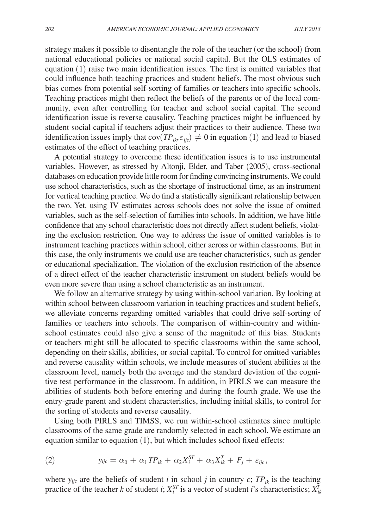strategy makes it possible to disentangle the role of the teacher (or the school) from national educational policies or national social capital. But the OLS estimates of equation (1) raise two main identification issues. The first is omitted variables that could influence both teaching practices and student beliefs. The most obvious such bias comes from potential self-sorting of families or teachers into specific schools. Teaching practices might then reflect the beliefs of the parents or of the local community, even after controlling for teacher and school social capital. The second identification issue is reverse causality. Teaching practices might be influenced by student social capital if teachers adjust their practices to their audience. These two identification issues imply that  $cov(TP_{ik}, \varepsilon_{iic}) \neq 0$  in equation (1) and lead to biased estimates of the effect of teaching practices.

A potential strategy to overcome these identification issues is to use instrumental variables. However, as stressed by Altonji, Elder, and Taber (2005), cross-sectional databases on education provide little room for finding convincing instruments. We could use school characteristics, such as the shortage of instructional time, as an instrument for vertical teaching practice. We do find a statistically significant relationship between the two. Yet, using IV estimates across schools does not solve the issue of omitted variables, such as the self-selection of families into schools. In addition, we have little confidence that any school characteristic does not directly affect student beliefs, violating the exclusion restriction. One way to address the issue of omitted variables is to instrument teaching practices within school, either across or within classrooms. But in this case, the only instruments we could use are teacher characteristics, such as gender or educational specialization. The violation of the exclusion restriction of the absence of a direct effect of the teacher characteristic instrument on student beliefs would be even more severe than using a school characteristic as an instrument.

We follow an alternative strategy by using within-school variation. By looking at within school between classroom variation in teaching practices and student beliefs, we alleviate concerns regarding omitted variables that could drive self-sorting of families or teachers into schools. The comparison of within-country and withinschool estimates could also give a sense of the magnitude of this bias. Students or teachers might still be allocated to specific classrooms within the same school, depending on their skills, abilities, or social capital. To control for omitted variables and reverse causality within schools, we include measures of student abilities at the classroom level, namely both the average and the standard deviation of the cognitive test performance in the classroom. In addition, in PIRLS we can measure the abilities of students both before entering and during the fourth grade. We use the entry-grade parent and student characteristics, including initial skills, to control for the sorting of students and reverse causality.

Using both PIRLS and TIMSS, we run within-school estimates since multiple classrooms of the same grade are randomly selected in each school. We estimate an equation similar to equation (1), but which includes school fixed effects:

(2) 
$$
y_{ijc} = \alpha_0 + \alpha_1 T P_{ik} + \alpha_2 X_i^{ST} + \alpha_3 X_{ik}^T + F_j + \varepsilon_{ijc},
$$

where  $y_{ijc}$  are the beliefs of student *i* in school *j* in country *c*;  $TP_{ik}$  is the teaching practice of the teacher *k* of student *i*;  $X_i^{ST}$  is a vector of student *i*'s characteristics;  $X_{ik}^T$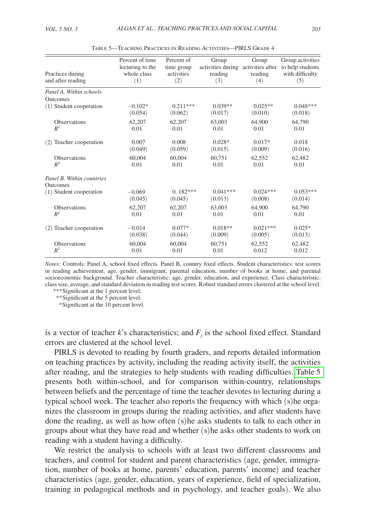| Practices during                             | Percent of time<br>lecturing to the<br>whole class | Percent of<br>time group<br>activities | Group<br>activities during<br>reading | Group<br>activities after<br>reading | Group activities<br>to help students<br>with difficulty |
|----------------------------------------------|----------------------------------------------------|----------------------------------------|---------------------------------------|--------------------------------------|---------------------------------------------------------|
| and after reading                            | (1)                                                | (2)                                    | (3)                                   | (4)                                  | (5)                                                     |
| Panel A. Within schools                      |                                                    |                                        |                                       |                                      |                                                         |
| <b>Outcomes</b>                              |                                                    |                                        |                                       |                                      |                                                         |
| (1) Student cooperation                      | $-0.102*$                                          | $0.211***$                             | $0.039**$                             | $0.025**$                            | $0.048***$                                              |
|                                              | (0.054)                                            | (0.062)                                | (0.017)                               | (0.010)                              | (0.018)                                                 |
| <b>Observations</b>                          | 62,207                                             | 62,207                                 | 63,003                                | 64,900                               | 64,790                                                  |
| $R^2$                                        | 0.01                                               | 0.01                                   | 0.01                                  | 0.01                                 | 0.01                                                    |
| Teacher cooperation<br>(2)                   | 0.007                                              | 0.008                                  | $0.028*$                              | $0.017*$                             | 0.018                                                   |
|                                              | (0.049)                                            | (0.059)                                | (0.015)                               | (0.009)                              | (0.016)                                                 |
| <b>Observations</b>                          | 60,004                                             | 60,004                                 | 60.751                                | 62.552                               | 62,482                                                  |
| $R^2$                                        | 0.01                                               | 0.01                                   | 0.01                                  | 0.01                                 | 0.01                                                    |
| Panel B. Within countries<br><b>Outcomes</b> |                                                    |                                        |                                       |                                      |                                                         |
| (1) Student cooperation                      | $-0.069$                                           | $0.182***$                             | $0.041***$                            | $0.024***$                           | $0.053***$                                              |
|                                              | (0.045)                                            | (0.045)                                | (0.013)                               | (0.008)                              | (0.014)                                                 |
| Observations                                 | 62,207                                             | 62,207                                 | 63,003                                | 64,900                               | 64,790                                                  |
| $R^2$                                        | 0.01                                               | 0.01                                   | 0.01                                  | 0.01                                 | 0.01                                                    |
| Teacher cooperation<br>(2)                   | $-0.014$                                           | $0.077*$                               | $0.018**$                             | $0.021***$                           | $0.025*$                                                |
|                                              | (0.038)                                            | (0.044)                                | (0.009)                               | (0.005)                              | (0.013)                                                 |
| <b>Observations</b>                          | 60,004                                             | 60,004                                 | 60,751                                | 62,552                               | 62,482                                                  |
| $R^2$                                        | 0.01                                               | 0.01                                   | 0.01                                  | 0.012                                | 0.012                                                   |

Table 5—Teaching Practices in Reading Activities—PIRLS Grade 4

*Notes:* Controls: Panel A, school fixed effects. Panel B, country fixed effects. Student characteristics: test scores in reading achievement, age, gender, immigrant, parental education, number of books at home, and parental socioeconomic background. Teacher characteristic: age, gender, education, and experience. Class characteristic: class size, average, and standard deviation in reading test scores. Robust standard errors clustered at the school level.

*\*\*\**Significant at the 1 percent level.

*\*\**Significant at the 5 percent level.

 *\**Significant at the 10 percent level.

is a vector of teacher  $k$ 's characteristics; and  $F_j$  is the school fixed effect. Standard errors are clustered at the school level.

PIRLS is devoted to reading by fourth graders, and reports detailed information on teaching practices by activity, including the reading activity itself, the activities after reading, and the strategies to help students with reading difficulties. Table 5 presents both within-school, and for comparison within-country, relationships between beliefs and the percentage of time the teacher devotes to lecturing during a typical school week. The teacher also reports the frequency with which (s)he organizes the classroom in groups during the reading activities, and after students have done the reading, as well as how often (s)he asks students to talk to each other in groups about what they have read and whether (s)he asks other students to work on reading with a student having a difficulty.

We restrict the analysis to schools with at least two different classrooms and teachers, and control for student and parent characteristics (age, gender, immigration, number of books at home, parents' education, parents' income) and teacher characteristics (age, gender, education, years of experience, field of specialization, training in pedagogical methods and in psychology, and teacher goals). We also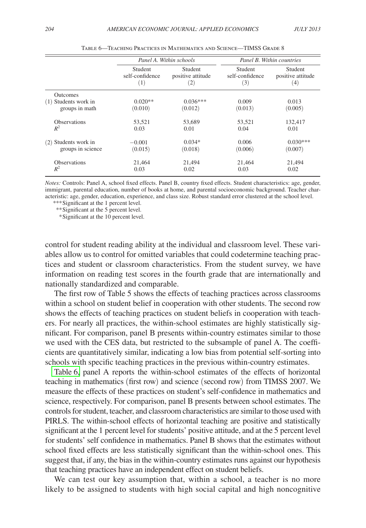|                         |                                        | Panel A. Within schools             |                                   | Panel B. Within countries                         |
|-------------------------|----------------------------------------|-------------------------------------|-----------------------------------|---------------------------------------------------|
|                         | Student<br>self-confidence<br>$^{(1)}$ | Student<br>positive attitude<br>(2) | Student<br>self-confidence<br>(3) | Student<br>positive attitude<br>$\left( 4\right)$ |
| <b>Outcomes</b>         |                                        |                                     |                                   |                                                   |
| Students work in<br>(1) | $0.020**$                              | $0.036***$                          | 0.009                             | 0.013                                             |
| groups in math          | (0.010)                                | (0.012)                             | (0.013)                           | (0.005)                                           |
| <b>Observations</b>     | 53,521                                 | 53,689                              | 53,521                            | 132,417                                           |
| $R^2$                   | 0.03                                   | 0.01                                | 0.04                              | 0.01                                              |
| (2) Students work in    | $-0.001$                               | $0.034*$                            | 0.006                             | $0.030***$                                        |
| groups in science       | (0.015)                                | (0.018)                             | (0.006)                           | (0.007)                                           |
| <b>Observations</b>     | 21,464                                 | 21,494                              | 21,464                            | 21,494                                            |
| $R^2$                   | 0.03                                   | 0.02                                | 0.03                              | 0.02                                              |

Table 6—Teaching Practices in Mathematics and Science—TIMSS Grade 8

*Notes:* Controls: Panel A, school fixed effects. Panel B, country fixed effects. Student characteristics: age, gender, immigrant, parental education, number of books at home, and parental socioeconomic background. Teacher characteristic: age, gender, education, experience, and class size. Robust standard error clustered at the school level.

*\*\*\**Significant at the 1 percent level.

*\*\**Significant at the 5 percent level.

 *\**Significant at the 10 percent level.

control for student reading ability at the individual and classroom level. These variables allow us to control for omitted variables that could codetermine teaching practices and student or classroom characteristics. From the student survey, we have information on reading test scores in the fourth grade that are internationally and nationally standardized and comparable.

The first row of Table 5 shows the effects of teaching practices across classrooms within a school on student belief in cooperation with other students. The second row shows the effects of teaching practices on student beliefs in cooperation with teachers. For nearly all practices, the within-school estimates are highly statistically significant. For comparison, panel B presents within-country estimates similar to those we used with the CES data, but restricted to the subsample of panel A. The coefficients are quantitatively similar, indicating a low bias from potential self-sorting into schools with specific teaching practices in the previous within-country estimates.

Table 6, panel A reports the within-school estimates of the effects of horizontal teaching in mathematics (first row) and science (second row) from TIMSS 2007. We measure the effects of these practices on student's self-confidence in mathematics and science, respectively. For comparison, panel B presents between school estimates. The controls for student, teacher, and classroom characteristics are similar to those used with PIRLS. The within-school effects of horizontal teaching are positive and statistically significant at the 1 percent level for students' positive attitude, and at the 5 percent level for students' self confidence in mathematics. Panel B shows that the estimates without school fixed effects are less statistically significant than the within-school ones. This suggest that, if any, the bias in the within-country estimates runs against our hypothesis that teaching practices have an independent effect on student beliefs.

We can test our key assumption that, within a school, a teacher is no more likely to be assigned to students with high social capital and high noncognitive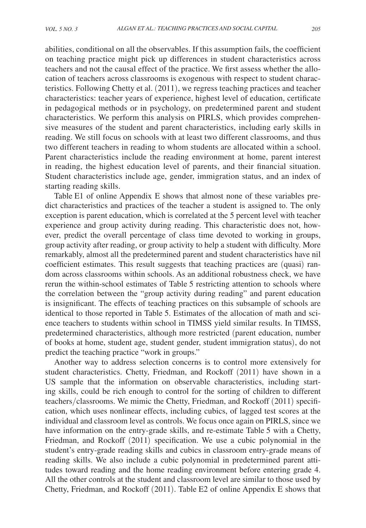abilities, conditional on all the observables. If this assumption fails, the coefficient on teaching practice might pick up differences in student characteristics across teachers and not the causal effect of the practice. We first assess whether the allocation of teachers across classrooms is exogenous with respect to student characteristics. Following Chetty et al. (2011), we regress teaching practices and teacher characteristics: teacher years of experience, highest level of education, certificate in pedagogical methods or in psychology, on predetermined parent and student characteristics. We perform this analysis on PIRLS, which provides comprehensive measures of the student and parent characteristics, including early skills in reading. We still focus on schools with at least two different classrooms, and thus two different teachers in reading to whom students are allocated within a school. Parent characteristics include the reading environment at home, parent interest in reading, the highest education level of parents, and their financial situation. Student characteristics include age, gender, immigration status, and an index of starting reading skills.

Table E1 of online Appendix E shows that almost none of these variables predict characteristics and practices of the teacher a student is assigned to. The only exception is parent education, which is correlated at the 5 percent level with teacher experience and group activity during reading. This characteristic does not, however, predict the overall percentage of class time devoted to working in groups, group activity after reading, or group activity to help a student with difficulty. More remarkably, almost all the predetermined parent and student characteristics have nil coefficient estimates. This result suggests that teaching practices are (quasi) random across classrooms within schools. As an additional robustness check, we have rerun the within-school estimates of Table 5 restricting attention to schools where the correlation between the "group activity during reading" and parent education is insignificant. The effects of teaching practices on this subsample of schools are identical to those reported in Table 5. Estimates of the allocation of math and science teachers to students within school in TIMSS yield similar results. In TIMSS, predetermined characteristics, although more restricted (parent education, number of books at home, student age, student gender, student immigration status), do not predict the teaching practice "work in groups."

Another way to address selection concerns is to control more extensively for student characteristics. Chetty, Friedman, and Rockoff (2011) have shown in a US sample that the information on observable characteristics, including starting skills, could be rich enough to control for the sorting of children to different teachers/classrooms. We mimic the Chetty, Friedman, and Rockoff (2011) specification, which uses nonlinear effects, including cubics, of lagged test scores at the individual and classroom level as controls. We focus once again on PIRLS, since we have information on the entry-grade skills, and re-estimate Table 5 with a Chetty, Friedman, and Rockoff (2011) specification. We use a cubic polynomial in the student's entry-grade reading skills and cubics in classroom entry-grade means of reading skills. We also include a cubic polynomial in predetermined parent attitudes toward reading and the home reading environment before entering grade 4. All the other controls at the student and classroom level are similar to those used by Chetty, Friedman, and Rockoff (2011). Table E2 of online Appendix E shows that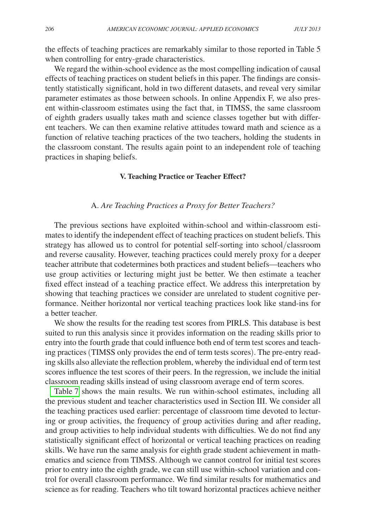the effects of teaching practices are remarkably similar to those reported in Table 5 when controlling for entry-grade characteristics.

We regard the within-school evidence as the most compelling indication of causal effects of teaching practices on student beliefs in this paper. The findings are consistently statistically significant, hold in two different datasets, and reveal very similar parameter estimates as those between schools. In online Appendix F, we also present within-classroom estimates using the fact that, in TIMSS, the same classroom of eighth graders usually takes math and science classes together but with different teachers. We can then examine relative attitudes toward math and science as a function of relative teaching practices of the two teachers, holding the students in the classroom constant. The results again point to an independent role of teaching practices in shaping beliefs.

#### **V. Teaching Practice or Teacher Effect?**

### A. *Are Teaching Practices a Proxy for Better Teachers?*

The previous sections have exploited within-school and within-classroom estimates to identify the independent effect of teaching practices on student beliefs. This strategy has allowed us to control for potential self-sorting into school/classroom and reverse causality. However, teaching practices could merely proxy for a deeper teacher attribute that codetermines both practices and student beliefs—teachers who use group activities or lecturing might just be better. We then estimate a teacher fixed effect instead of a teaching practice effect. We address this interpretation by showing that teaching practices we consider are unrelated to student cognitive performance. Neither horizontal nor vertical teaching practices look like stand-ins for a better teacher.

We show the results for the reading test scores from PIRLS. This database is best suited to run this analysis since it provides information on the reading skills prior to entry into the fourth grade that could influence both end of term test scores and teaching practices (TIMSS only provides the end of term tests scores). The pre-entry reading skills also alleviate the reflection problem, whereby the individual end of term test scores influence the test scores of their peers. In the regression, we include the initial classroom reading skills instead of using classroom average end of term scores.

[Table](#page-18-0) 7 shows the main results. We run within-school estimates, including all the previous student and teacher characteristics used in Section III. We consider all the teaching practices used earlier: percentage of classroom time devoted to lecturing or group activities, the frequency of group activities during and after reading, and group activities to help individual students with difficulties. We do not find any statistically significant effect of horizontal or vertical teaching practices on reading skills. We have run the same analysis for eighth grade student achievement in mathematics and science from TIMSS. Although we cannot control for initial test scores prior to entry into the eighth grade, we can still use within-school variation and control for overall classroom performance. We find similar results for mathematics and science as for reading. Teachers who tilt toward horizontal practices achieve neither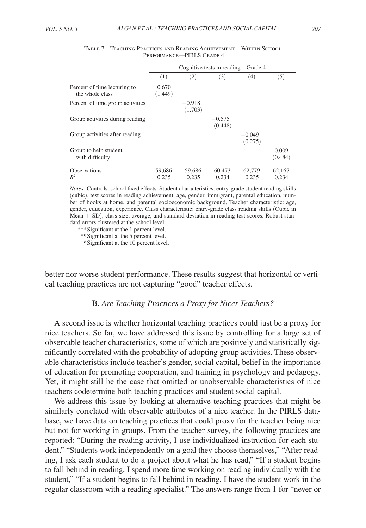<span id="page-18-0"></span>

|                                                 | Cognitive tests in reading—Grade 4 |                     |                     |                     |                     |  |
|-------------------------------------------------|------------------------------------|---------------------|---------------------|---------------------|---------------------|--|
|                                                 | (1)                                | $\left( 2\right)$   | (3)                 | (4)                 | (5)                 |  |
| Percent of time lecturing to<br>the whole class | 0.670<br>(1.449)                   |                     |                     |                     |                     |  |
| Percent of time group activities                |                                    | $-0.918$<br>(1.703) |                     |                     |                     |  |
| Group activities during reading                 |                                    |                     | $-0.575$<br>(0.448) |                     |                     |  |
| Group activities after reading                  |                                    |                     |                     | $-0.049$<br>(0.275) |                     |  |
| Group to help student<br>with difficulty        |                                    |                     |                     |                     | $-0.009$<br>(0.484) |  |
| <b>Observations</b><br>$R^2$                    | 59,686<br>0.235                    | 59,686<br>0.235     | 60,473<br>0.234     | 62,779<br>0.235     | 62,167<br>0.234     |  |

| TABLE 7—TEACHING PRACTICES AND READING ACHIEVEMENT—WITHIN SCHOOL |
|------------------------------------------------------------------|
| PERFORMANCE-PIRLS GRADE 4                                        |

*Notes:* Controls: school fixed effects. Student characteristics: entry-grade student reading skills (cubic), test scores in reading achievement, age, gender, immigrant, parental education, number of books at home, and parental socioeconomic background. Teacher characteristic: age, gender, education, experience. Class characteristic: entry-grade class reading skills (Cubic in Mean + SD), class size, average, and standard deviation in reading test scores. Robust standard errors clustered at the school level.

*\*\*\**Significant at the 1 percent level.

*\*\**Significant at the 5 percent level.

 *\**Significant at the 10 percent level.

better nor worse student performance. These results suggest that horizontal or vertical teaching practices are not capturing "good" teacher effects.

# B. *Are Teaching Practices a Proxy for Nicer Teachers?*

A second issue is whether horizontal teaching practices could just be a proxy for nice teachers. So far, we have addressed this issue by controlling for a large set of observable teacher characteristics, some of which are positively and statistically significantly correlated with the probability of adopting group activities. These observable characteristics include teacher's gender, social capital, belief in the importance of education for promoting cooperation, and training in psychology and pedagogy. Yet, it might still be the case that omitted or unobservable characteristics of nice teachers codetermine both teaching practices and student social capital.

We address this issue by looking at alternative teaching practices that might be similarly correlated with observable attributes of a nice teacher. In the PIRLS database, we have data on teaching practices that could proxy for the teacher being nice but not for working in groups. From the teacher survey, the following practices are reported: "During the reading activity, I use individualized instruction for each student," "Students work independently on a goal they choose themselves," "After reading, I ask each student to do a project about what he has read," "If a student begins to fall behind in reading, I spend more time working on reading individually with the student," "If a student begins to fall behind in reading, I have the student work in the regular classroom with a reading specialist." The answers range from 1 for "never or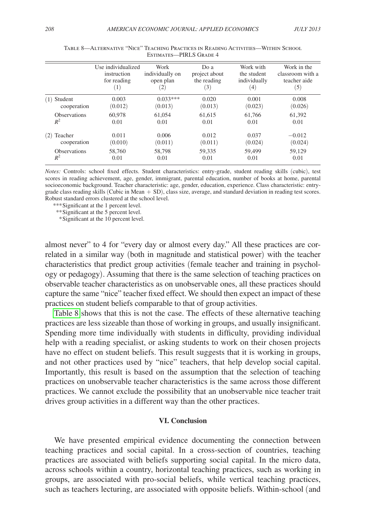|                               | Use individualized | Work                  | Do a             | Work with        | Work in the         |
|-------------------------------|--------------------|-----------------------|------------------|------------------|---------------------|
|                               | instruction        | individually on       | project about    | the student      | classroom with a    |
|                               | for reading        | open plan             | the reading      | individually     | teacher aide        |
|                               | (1)                | (2)                   | (3)              | $\left(4\right)$ | (5)                 |
| Student<br>(1)<br>cooperation | 0.003<br>(0.012)   | $0.033***$<br>(0.013) | 0.020<br>(0.013) | 0.001<br>(0.023) | 0.008<br>(0.026)    |
| <b>Observations</b>           | 60.978             | 61,054                | 61.615           | 61.766           | 61.392              |
| $R^2$                         | 0.01               | 0.01                  | 0.01             | 0.01             | 0.01                |
| Teacher<br>(2)<br>cooperation | 0.011<br>(0.010)   | 0.006<br>(0.011)      | 0.012<br>(0.011) | 0.037<br>(0.024) | $-0.012$<br>(0.024) |
| <b>Observations</b>           | 58,760             | 58,798                | 59,335           | 59,499           | 59,129              |
| $R^2$                         | 0.01               | 0.01                  | 0.01             | 0.01             | 0.01                |

Table 8—Alternative "Nice" Teaching Practices in Reading Activities—Within School Estimates—PIRLS Grade 4

*Notes:* Controls: school fixed effects. Student characteristics: entry-grade, student reading skills (cubic), test scores in reading achievement, age, gender, immigrant, parental education, number of books at home, parental socioeconomic background. Teacher characteristic: age, gender, education, experience. Class characteristic: entrygrade class reading skills (Cubic in Mean + SD), class size, average, and standard deviation in reading test scores. Robust standard errors clustered at the school level.

*\*\*\**Significant at the 1 percent level.

*\*\**Significant at the 5 percent level.

 *\**Significant at the 10 percent level.

almost never" to 4 for "every day or almost every day." All these practices are correlated in a similar way (both in magnitude and statistical power) with the teacher characteristics that predict group activities (female teacher and training in psychology or pedagogy). Assuming that there is the same selection of teaching practices on observable teacher characteristics as on unobservable ones, all these practices should capture the same "nice" teacher fixed effect. We should then expect an impact of these practices on student beliefs comparable to that of group activities.

Table 8 shows that this is not the case. The effects of these alternative teaching practices are less sizeable than those of working in groups, and usually insignificant. Spending more time individually with students in difficulty, providing individual help with a reading specialist, or asking students to work on their chosen projects have no effect on student beliefs. This result suggests that it is working in groups, and not other practices used by "nice" teachers, that help develop social capital. Importantly, this result is based on the assumption that the selection of teaching practices on unobservable teacher characteristics is the same across those different practices. We cannot exclude the possibility that an unobservable nice teacher trait drives group activities in a different way than the other practices.

#### **VI. Conclusion**

We have presented empirical evidence documenting the connection between teaching practices and social capital. In a cross-section of countries, teaching practices are associated with beliefs supporting social capital. In the micro data, across schools within a country, horizontal teaching practices, such as working in groups, are associated with pro-social beliefs, while vertical teaching practices, such as teachers lecturing, are associated with opposite beliefs. Within-school (and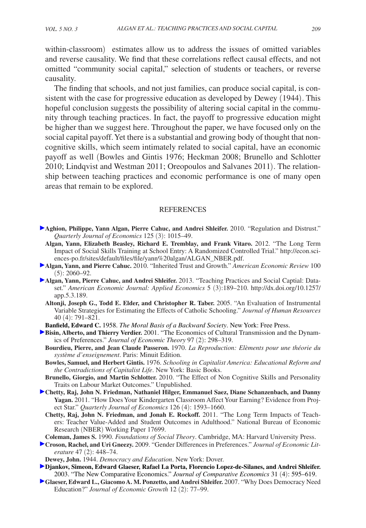within-classroom) estimates allow us to address the issues of omitted variables and reverse causality. We find that these correlations reflect causal effects, and not omitted "community social capital," selection of students or teachers, or reverse causality.

The finding that schools, and not just families, can produce social capital, is consistent with the case for progressive education as developed by Dewey (1944). This hopeful conclusion suggests the possibility of altering social capital in the community through teaching practices. In fact, the payoff to progressive education might be higher than we suggest here. Throughout the paper, we have focused only on the social capital payoff. Yet there is a substantial and growing body of thought that noncognitive skills, which seem intimately related to social capital, have an economic payoff as well (Bowles and Gintis 1976; Heckman 2008; Brunello and Schlotter 2010; Lindqvist and Westman 2011; Oreopoulos and Salvanes 2011). The relationship between teaching practices and economic performance is one of many open areas that remain to be explored.

#### **REFERENCES**

- **Aghion, Philippe, Yann Algan, Pierre Cahuc, and Andrei Shleifer.** 2010. "Regulation and Distrust." *Quarterly Journal of Economics* 125 (3): 1015–49.
	- **Algan, Yann, Elizabeth Beasley, Richard E. Tremblay, and Frank Vitaro.** 2012. "The Long Term Impact of Social Skills Training at School Entry: A Randomized Controlled Trial." [http://econ.sci](http://econ.sciences-po.fr/sites/default/files/file/yann%20algan/ALGAN_NBER.pdf)[ences-po.fr/sites/default/files/file/yann%20algan/ALGAN\\_NBER.pdf.](http://econ.sciences-po.fr/sites/default/files/file/yann%20algan/ALGAN_NBER.pdf)
- **Algan, Yann, and Pierre Cahuc.** 2010. "Inherited Trust and Growth." *American Economic Review* 100 (5): 2060–92.
- **Algan, Yann, Pierre Cahuc, and Andrei Shleifer.** 2013. "Teaching Practices and Social Captial: Dataset." *American Economic Journal: Applied Economics* 5 (3):189–210. [http://dx.doi.org/10.1257/](http://dx.doi.org/10.1257/app.5.3.189) [app.5.3.189](http://dx.doi.org/10.1257/app.5.3.189).
	- **Altonji, Joseph G., Todd E. Elder, and Christopher R. Taber.** 2005. "An Evaluation of Instrumental Variable Strategies for Estimating the Effects of Catholic Schooling." *Journal of Human Resources* 40 (4): 791–821.
- **Banfield, Edward C.** 1958. *The Moral Basis of a Backward Society*. New York: Free Press.
- **Bisin, Alberto, and Thierry Verdier.** 2001. "The Economics of Cultural Transmission and the Dynamics of Preferences." *Journal of Economic Theory* 97 (2): 298–319.
	- **Bourdieu, Pierre, and Jean Claude Passeron.** 1970. *La Reproduction: Elèments pour une théorie du système d'enseignement*. Paris: Minuit Edition.
	- **Bowles, Samuel, and Herbert Gintis.** 1976. *Schooling in Capitalist America: Educational Reform and the Contradictions of Capitalist Life*. New York: Basic Books.
- **Brunello, Giorgio, and Martin Schlotter.** 2010. "The Effect of Non Cognitive Skills and Personality Traits on Labour Market Outcomes." Unpublished.
- **Chetty, Raj, John N. Friedman, Nathaniel Hilger, Emmanuel Saez, Diane Schanzenbach, and Danny Yagan.** 2011. "How Does Your Kindergarten Classroom Affect Your Earning? Evidence from Project Star." *Quarterly Journal of Economics* 126 (4): 1593–1660.
	- **Chetty, Raj, John N. Friedman, and Jonah E. Rockoff.** 2011. "The Long Term Impacts of Teachers: Teacher Value-Added and Student Outcomes in Adulthood." National Bureau of Economic Research (NBER) Working Paper 17699.
- **Coleman, James S.** 1990. *Foundations of Social Theory*. Cambridge, MA: Harvard University Press.
- **Croson, Rachel, and Uri Gneezy.** 2009. "Gender Differences in Preferences." *Journal of Economic Literature* 47 (2): 448–74.
- **Dewey, John.** 1944. *Democracy and Education*. New York: Dover.
- **Djankov, Simeon, Edward Glaeser, Rafael La Porta, Florencio Lopez-de-Silanes, and Andrei Shleifer.**  2003. "The New Comparative Economics." *Journal of Comparative Economics* 31 (4): 595–619.
- **Glaeser, Edward L., Giacomo A. M. Ponzetto, and Andrei Shleifer.** 2007. "Why Does Democracy Need Education?" *Journal of Economic Growth* 12 (2): 77–99.